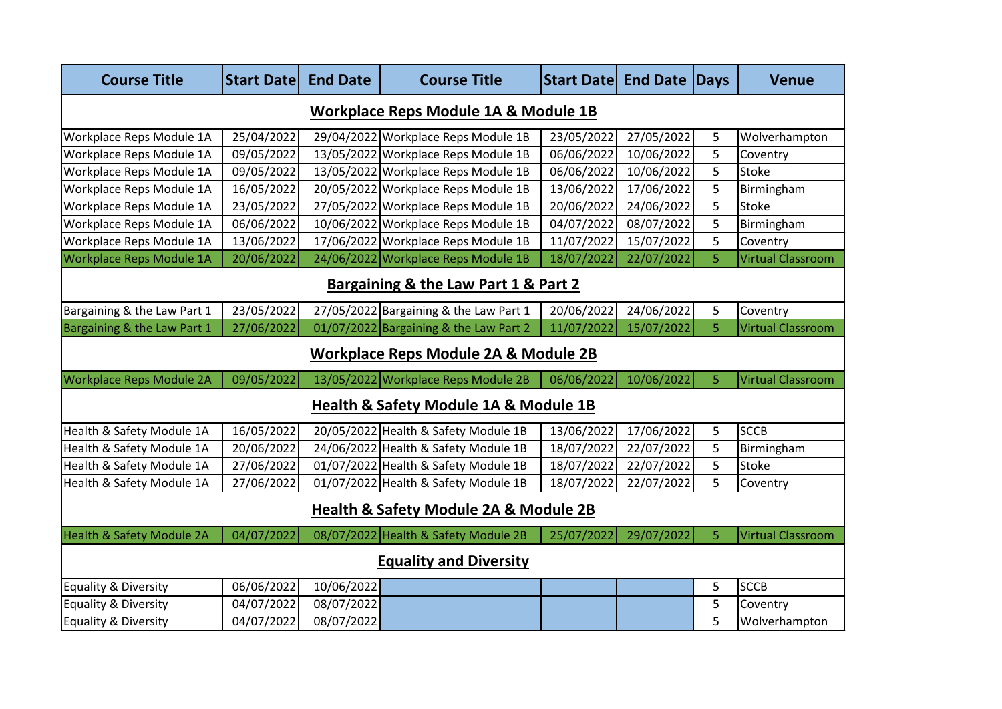| <b>Course Title</b>                             | <b>Start Datel</b> | <b>End Date</b> | <b>Course Title</b>                    | <b>Start Datel</b> | <b>End Date</b> | Days | <b>Venue</b>             |  |  |  |
|-------------------------------------------------|--------------------|-----------------|----------------------------------------|--------------------|-----------------|------|--------------------------|--|--|--|
| <b>Workplace Reps Module 1A &amp; Module 1B</b> |                    |                 |                                        |                    |                 |      |                          |  |  |  |
| Workplace Reps Module 1A                        | 25/04/2022         |                 | 29/04/2022 Workplace Reps Module 1B    | 23/05/2022         | 27/05/2022      | 5    | Wolverhampton            |  |  |  |
| Workplace Reps Module 1A                        | 09/05/2022         |                 | 13/05/2022 Workplace Reps Module 1B    | 06/06/2022         | 10/06/2022      | 5    | Coventry                 |  |  |  |
| Workplace Reps Module 1A                        | 09/05/2022         |                 | 13/05/2022 Workplace Reps Module 1B    | 06/06/2022         | 10/06/2022      | 5    | <b>Stoke</b>             |  |  |  |
| Workplace Reps Module 1A                        | 16/05/2022         |                 | 20/05/2022 Workplace Reps Module 1B    | 13/06/2022         | 17/06/2022      | 5    | Birmingham               |  |  |  |
| Workplace Reps Module 1A                        | 23/05/2022         |                 | 27/05/2022 Workplace Reps Module 1B    | 20/06/2022         | 24/06/2022      | 5    | <b>Stoke</b>             |  |  |  |
| Workplace Reps Module 1A                        | 06/06/2022         |                 | 10/06/2022 Workplace Reps Module 1B    | 04/07/2022         | 08/07/2022      | 5    | Birmingham               |  |  |  |
| Workplace Reps Module 1A                        | 13/06/2022         |                 | 17/06/2022 Workplace Reps Module 1B    | 11/07/2022         | 15/07/2022      | 5    | Coventry                 |  |  |  |
| Workplace Reps Module 1A                        | 20/06/2022         |                 | 24/06/2022 Workplace Reps Module 1B    | 18/07/2022         | 22/07/2022      | 5    | <b>Virtual Classroom</b> |  |  |  |
| Bargaining & the Law Part 1 & Part 2            |                    |                 |                                        |                    |                 |      |                          |  |  |  |
| Bargaining & the Law Part 1                     | 23/05/2022         |                 | 27/05/2022 Bargaining & the Law Part 1 | 20/06/2022         | 24/06/2022      | 5    | Coventry                 |  |  |  |
| Bargaining & the Law Part 1                     | 27/06/2022         |                 | 01/07/2022 Bargaining & the Law Part 2 | 11/07/2022         | 15/07/2022      | 5    | <b>Virtual Classroom</b> |  |  |  |
| Workplace Reps Module 2A & Module 2B            |                    |                 |                                        |                    |                 |      |                          |  |  |  |
| <b>Workplace Reps Module 2A</b>                 | 09/05/2022         |                 | 13/05/2022 Workplace Reps Module 2B    | 06/06/2022         | 10/06/2022      | 5    | <b>Virtual Classroom</b> |  |  |  |
| Health & Safety Module 1A & Module 1B           |                    |                 |                                        |                    |                 |      |                          |  |  |  |
| Health & Safety Module 1A                       | 16/05/2022         |                 | 20/05/2022 Health & Safety Module 1B   | 13/06/2022         | 17/06/2022      | 5    | <b>SCCB</b>              |  |  |  |
| Health & Safety Module 1A                       | 20/06/2022         |                 | 24/06/2022 Health & Safety Module 1B   | 18/07/2022         | 22/07/2022      | 5    | Birmingham               |  |  |  |
| Health & Safety Module 1A                       | 27/06/2022         |                 | 01/07/2022 Health & Safety Module 1B   | 18/07/2022         | 22/07/2022      | 5    | <b>Stoke</b>             |  |  |  |
| Health & Safety Module 1A                       | 27/06/2022         |                 | 01/07/2022 Health & Safety Module 1B   | 18/07/2022         | 22/07/2022      | 5    | Coventry                 |  |  |  |
| Health & Safety Module 2A & Module 2B           |                    |                 |                                        |                    |                 |      |                          |  |  |  |
| Health & Safety Module 2A                       | 04/07/2022         |                 | 08/07/2022 Health & Safety Module 2B   | 25/07/2022         | 29/07/2022      | 5    | Virtual Classroom        |  |  |  |
| <b>Equality and Diversity</b>                   |                    |                 |                                        |                    |                 |      |                          |  |  |  |
| Equality & Diversity                            | 06/06/2022         | 10/06/2022      |                                        |                    |                 | 5    | <b>SCCB</b>              |  |  |  |
| Equality & Diversity                            | 04/07/2022         | 08/07/2022      |                                        |                    |                 | 5    | Coventry                 |  |  |  |
| Equality & Diversity                            | 04/07/2022         | 08/07/2022      |                                        |                    |                 | 5    | Wolverhampton            |  |  |  |